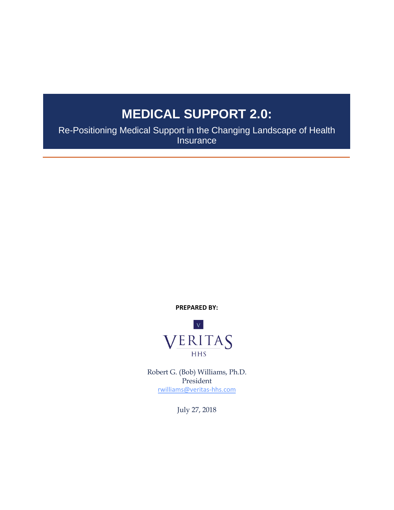# **MEDICAL SUPPORT 2.0:**

Re-Positioning Medical Support in the Changing Landscape of Health Insurance

**PREPARED BY:**



Robert G. (Bob) Williams, Ph.D. President [rwilliams@veritas-hhs.com](mailto:rwilliams@veritas-hhs.com)

July 27, 2018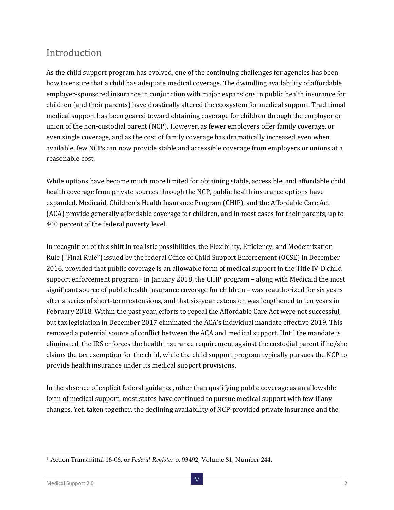#### Introduction

As the child support program has evolved, one of the continuing challenges for agencies has been how to ensure that a child has adequate medical coverage. The dwindling availability of affordable employer-sponsored insurance in conjunction with major expansions in public health insurance for children (and their parents) have drastically altered the ecosystem for medical support. Traditional medical support has been geared toward obtaining coverage for children through the employer or union of the non-custodial parent (NCP). However, as fewer employers offer family coverage, or even single coverage, and as the cost of family coverage has dramatically increased even when available, few NCPs can now provide stable and accessible coverage from employers or unions at a reasonable cost.

While options have become much more limited for obtaining stable, accessible, and affordable child health coverage from private sources through the NCP, public health insurance options have expanded. Medicaid, Children's Health Insurance Program (CHIP), and the Affordable Care Act (ACA) provide generally affordable coverage for children, and in most cases for their parents, up to 400 percent of the federal poverty level.

In recognition of this shift in realistic possibilities, the Flexibility, Efficiency, and Modernization Rule ("Final Rule") issued by the federal Office of Child Support Enforcement (OCSE) in December 2016, provided that public coverage is an allowable form of medical support in the Title IV-D child support enforcement program.<sup>1</sup> In January 2018, the CHIP program – along with Medicaid the most significant source of public health insurance coverage for children – was reauthorized for six years after a series of short-term extensions, and that six-year extension was lengthened to ten years in February 2018. Within the past year, efforts to repeal the Affordable Care Act were not successful, but tax legislation in December 2017 eliminated the ACA's individual mandate effective 2019. This removed a potential source of conflict between the ACA and medical support. Until the mandate is eliminated, the IRS enforces the health insurance requirement against the custodial parent if he/she claims the tax exemption for the child, while the child support program typically pursues the NCP to provide health insurance under its medical support provisions.

In the absence of explicit federal guidance, other than qualifying public coverage as an allowable form of medical support, most states have continued to pursue medical support with few if any changes. Yet, taken together, the declining availability of NCP-provided private insurance and the

<sup>1</sup> Action Transmittal 16-06, or *Federal Register* p. 93492, Volume 81, Number 244.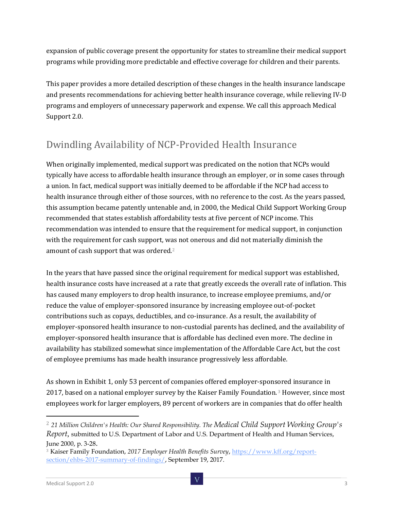expansion of public coverage present the opportunity for states to streamline their medical support programs while providing more predictable and effective coverage for children and their parents.

This paper provides a more detailed description of these changes in the health insurance landscape and presents recommendations for achieving better health insurance coverage, while relieving IV-D programs and employers of unnecessary paperwork and expense. We call this approach Medical Support 2.0.

### Dwindling Availability of NCP-Provided Health Insurance

When originally implemented, medical support was predicated on the notion that NCPs would typically have access to affordable health insurance through an employer, or in some cases through a union. In fact, medical support was initially deemed to be affordable if the NCP had access to health insurance through either of those sources, with no reference to the cost. As the years passed, this assumption became patently untenable and, in 2000, the Medical Child Support Working Group recommended that states establish affordability tests at five percent of NCP income. This recommendation was intended to ensure that the requirement for medical support, in conjunction with the requirement for cash support, was not onerous and did not materially diminish the amount of cash support that was ordered.<sup>2</sup>

In the years that have passed since the original requirement for medical support was established, health insurance costs have increased at a rate that greatly exceeds the overall rate of inflation. This has caused many employers to drop health insurance, to increase employee premiums, and/or reduce the value of employer-sponsored insurance by increasing employee out-of-pocket contributions such as copays, deductibles, and co-insurance. As a result, the availability of employer-sponsored health insurance to non-custodial parents has declined, and the availability of employer-sponsored health insurance that is affordable has declined even more. The decline in availability has stabilized somewhat since implementation of the Affordable Care Act, but the cost of employee premiums has made health insurance progressively less affordable.

As shown in Exhibit 1, only 53 percent of companies offered employer-sponsored insurance in 2017, based on a national employer survey by the Kaiser Family Foundation. <sup>3</sup> However, since most employees work for larger employers, 89 percent of workers are in companies that do offer health

 $\ddot{\phantom{a}}$ 

<sup>2</sup> *21 Million Children's Health: Our Shared Responsibility. The Medical Child Support Working Group's Report*, submitted to U.S. Department of Labor and U.S. Department of Health and Human Services, June 2000, p. 3-28.

<sup>3</sup> Kaiser Family Foundation, *2017 Employer Health Benefits Survey*[, https://www.kff.org/report](https://www.kff.org/report-section/ehbs-2017-summary-of-findings/)[section/ehbs-2017-summary-of-findings/,](https://www.kff.org/report-section/ehbs-2017-summary-of-findings/) September 19, 2017.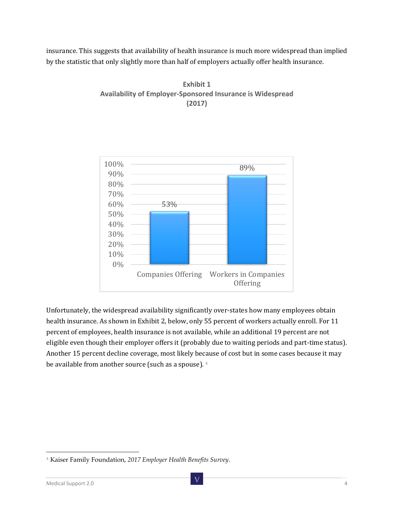insurance. This suggests that availability of health insurance is much more widespread than implied by the statistic that only slightly more than half of employers actually offer health insurance.



**Exhibit 1 Availability of Employer-Sponsored Insurance is Widespread (2017)**

Unfortunately, the widespread availability significantly over-states how many employees obtain health insurance. As shown in Exhibit 2, below, only 55 percent of workers actually enroll. For 11 percent of employees, health insurance is not available, while an additional 19 percent are not eligible even though their employer offers it (probably due to waiting periods and part-time status). Another 15 percent decline coverage, most likely because of cost but in some cases because it may be available from another source (such as a spouse). 4

<sup>4</sup> Kaiser Family Foundation, *2017 Employer Health Benefits Survey*.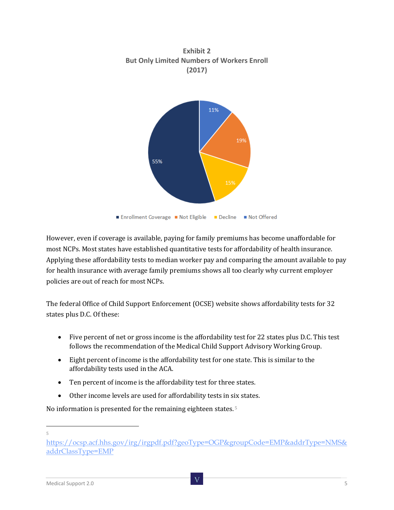

However, even if coverage is available, paying for family premiums has become unaffordable for most NCPs. Most states have established quantitative tests for affordability of health insurance. Applying these affordability tests to median worker pay and comparing the amount available to pay for health insurance with average family premiums shows all too clearly why current employer policies are out of reach for most NCPs.

The federal Office of Child Support Enforcement (OCSE) website shows affordability tests for 32 states plus D.C. Of these:

- Five percent of net or gross income is the affordability test for 22 states plus D.C. This test follows the recommendation of the Medical Child Support Advisory Working Group.
- Eight percent of income is the affordability test for one state. This is similar to the affordability tests used in the ACA.
- Ten percent of income is the affordability test for three states.
- Other income levels are used for affordability tests in six states.

No information is presented for the remaining eighteen states. <sup>5</sup>

 $\overline{a}$  $\overline{5}$ 

[https://ocsp.acf.hhs.gov/irg/irgpdf.pdf?geoType=OGP&groupCode=EMP&addrType=NMS&](https://ocsp.acf.hhs.gov/irg/irgpdf.pdf?geoType=OGP&groupCode=EMP&addrType=NMS&addrClassType=EMP) [addrClassType=EMP](https://ocsp.acf.hhs.gov/irg/irgpdf.pdf?geoType=OGP&groupCode=EMP&addrType=NMS&addrClassType=EMP)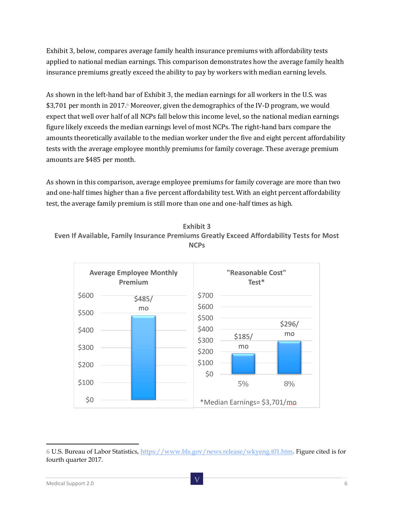Exhibit 3, below, compares average family health insurance premiums with affordability tests applied to national median earnings. This comparison demonstrates how the average family health insurance premiums greatly exceed the ability to pay by workers with median earning levels.

As shown in the left-hand bar of Exhibit 3, the median earnings for all workers in the U.S. was \$3,701 per month in 2017.<sup>6</sup> Moreover, given the demographics of the IV-D program, we would expect that well over half of all NCPs fall below this income level, so the national median earnings figure likely exceeds the median earnings level of most NCPs. The right-hand bars compare the amounts theoretically available to the median worker under the five and eight percent affordability tests with the average employee monthly premiums for family coverage. These average premium amounts are \$485 per month.

As shown in this comparison, average employee premiums for family coverage are more than two and one-half times higher than a five percent affordability test. With an eight percent affordability test, the average family premium is still more than one and one-half times as high.





<sup>6</sup> U.S. Bureau of Labor Statistics[, https://www.bls.gov/news.release/wkyeng.t01.htm.](https://www.bls.gov/news.release/wkyeng.t01.htm) Figure cited is for fourth quarter 2017.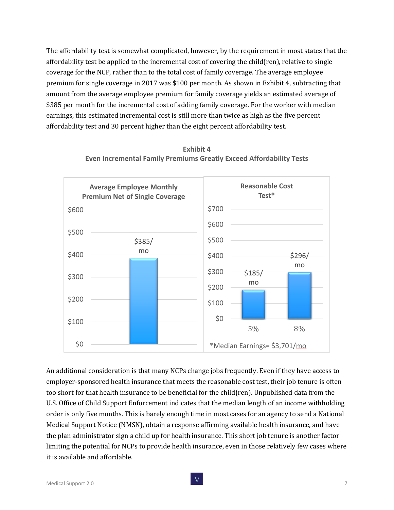The affordability test is somewhat complicated, however, by the requirement in most states that the affordability test be applied to the incremental cost of covering the child(ren), relative to single coverage for the NCP, rather than to the total cost of family coverage. The average employee premium for single coverage in 2017 was \$100 per month. As shown in Exhibit 4, subtracting that amount from the average employee premium for family coverage yields an estimated average of \$385 per month for the incremental cost of adding family coverage. For the worker with median earnings, this estimated incremental cost is still more than twice as high as the five percent affordability test and 30 percent higher than the eight percent affordability test.



**Exhibit 4 Even Incremental Family Premiums Greatly Exceed Affordability Tests**

An additional consideration is that many NCPs change jobs frequently. Even if they have access to employer-sponsored health insurance that meets the reasonable cost test, their job tenure is often too short for that health insurance to be beneficial for the child(ren). Unpublished data from the U.S. Office of Child Support Enforcement indicates that the median length of an income withholding order is only five months. This is barely enough time in most cases for an agency to send a National Medical Support Notice (NMSN), obtain a response affirming available health insurance, and have the plan administrator sign a child up for health insurance. This short job tenure is another factor limiting the potential for NCPs to provide health insurance, even in those relatively few cases where it is available and affordable.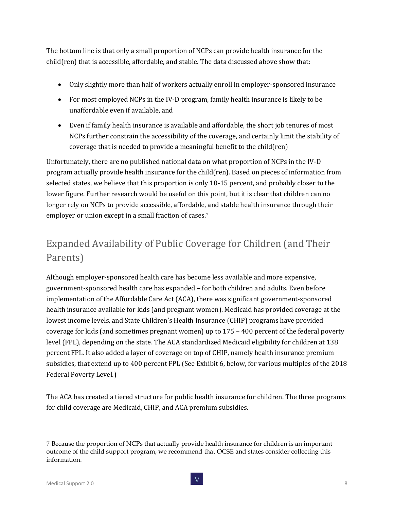The bottom line is that only a small proportion of NCPs can provide health insurance for the child(ren) that is accessible, affordable, and stable. The data discussed above show that:

- Only slightly more than half of workers actually enroll in employer-sponsored insurance
- For most employed NCPs in the IV-D program, family health insurance is likely to be unaffordable even if available, and
- Even if family health insurance is available and affordable, the short job tenures of most NCPs further constrain the accessibility of the coverage, and certainly limit the stability of coverage that is needed to provide a meaningful benefit to the child(ren)

Unfortunately, there are no published national data on what proportion of NCPs in the IV-D program actually provide health insurance for the child(ren). Based on pieces of information from selected states, we believe that this proportion is only 10-15 percent, and probably closer to the lower figure. Further research would be useful on this point, but it is clear that children can no longer rely on NCPs to provide accessible, affordable, and stable health insurance through their employer or union except in a small fraction of cases.<sup>7</sup>

## Expanded Availability of Public Coverage for Children (and Their Parents)

Although employer-sponsored health care has become less available and more expensive, government-sponsored health care has expanded – for both children and adults. Even before implementation of the Affordable Care Act (ACA), there was significant government-sponsored health insurance available for kids (and pregnant women). Medicaid has provided coverage at the lowest income levels, and State Children's Health Insurance (CHIP) programs have provided coverage for kids (and sometimes pregnant women) up to 175 – 400 percent of the federal poverty level (FPL), depending on the state. The ACA standardized Medicaid eligibility for children at 138 percent FPL. It also added a layer of coverage on top of CHIP, namely health insurance premium subsidies, that extend up to 400 percent FPL (See Exhibit 6, below, for various multiples of the 2018 Federal Poverty Level.)

The ACA has created a tiered structure for public health insurance for children. The three programs for child coverage are Medicaid, CHIP, and ACA premium subsidies.

<sup>7</sup> Because the proportion of NCPs that actually provide health insurance for children is an important outcome of the child support program, we recommend that OCSE and states consider collecting this information.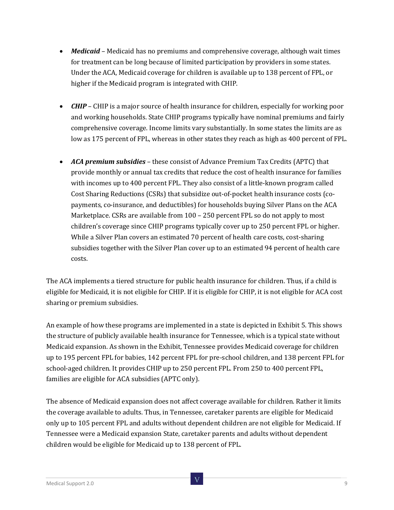- *Medicaid* Medicaid has no premiums and comprehensive coverage, although wait times for treatment can be long because of limited participation by providers in some states. Under the ACA, Medicaid coverage for children is available up to 138 percent of FPL, or higher if the Medicaid program is integrated with CHIP.
- *CHIP* CHIP is a major source of health insurance for children, especially for working poor and working households. State CHIP programs typically have nominal premiums and fairly comprehensive coverage. Income limits vary substantially. In some states the limits are as low as 175 percent of FPL, whereas in other states they reach as high as 400 percent of FPL.
- *ACA premium subsidies* these consist of Advance Premium Tax Credits (APTC) that provide monthly or annual tax credits that reduce the cost of health insurance for families with incomes up to 400 percent FPL. They also consist of a little-known program called Cost Sharing Reductions (CSRs) that subsidize out-of-pocket health insurance costs (copayments, co-insurance, and deductibles) for households buying Silver Plans on the ACA Marketplace. CSRs are available from 100 – 250 percent FPL so do not apply to most children's coverage since CHIP programs typically cover up to 250 percent FPL or higher. While a Silver Plan covers an estimated 70 percent of health care costs, cost-sharing subsidies together with the Silver Plan cover up to an estimated 94 percent of health care costs.

The ACA implements a tiered structure for public health insurance for children. Thus, if a child is eligible for Medicaid, it is not eligible for CHIP. If it is eligible for CHIP, it is not eligible for ACA cost sharing or premium subsidies.

An example of how these programs are implemented in a state is depicted in Exhibit 5. This shows the structure of publicly available health insurance for Tennessee, which is a typical state without Medicaid expansion. As shown in the Exhibit, Tennessee provides Medicaid coverage for children up to 195 percent FPL for babies, 142 percent FPL for pre-school children, and 138 percent FPL for school-aged children. It provides CHIP up to 250 percent FPL. From 250 to 400 percent FPL, families are eligible for ACA subsidies (APTC only).

The absence of Medicaid expansion does not affect coverage available for children. Rather it limits the coverage available to adults. Thus, in Tennessee, caretaker parents are eligible for Medicaid only up to 105 percent FPL and adults without dependent children are not eligible for Medicaid. If Tennessee were a Medicaid expansion State, caretaker parents and adults without dependent children would be eligible for Medicaid up to 138 percent of FPL.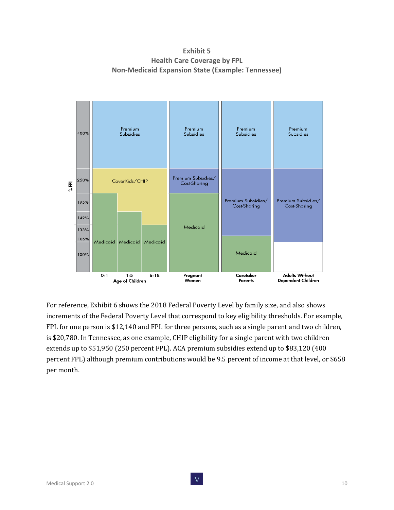**Exhibit 5 Health Care Coverage by FPL Non-Medicaid Expansion State (Example: Tennessee)**



For reference, Exhibit 6 shows the 2018 Federal Poverty Level by family size, and also shows increments of the Federal Poverty Level that correspond to key eligibility thresholds. For example, FPL for one person is \$12,140 and FPL for three persons, such as a single parent and two children, is \$20,780. In Tennessee, as one example, CHIP eligibility for a single parent with two children extends up to \$51,950 (250 percent FPL). ACA premium subsidies extend up to \$83,120 (400 percent FPL) although premium contributions would be 9.5 percent of income at that level, or \$658 per month.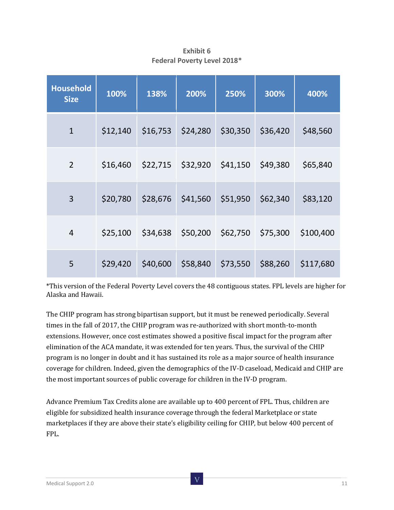| <b>Household</b><br><b>Size</b> | 100%     | 138%     | 200%                          | 250%     | 300%     | 400%      |
|---------------------------------|----------|----------|-------------------------------|----------|----------|-----------|
| $\mathbf{1}$                    | \$12,140 | \$16,753 | \$24,280                      | \$30,350 | \$36,420 | \$48,560  |
| $\overline{2}$                  | \$16,460 |          | $$22,715$ $$32,920$ $$41,150$ |          | \$49,380 | \$65,840  |
| 3                               | \$20,780 | \$28,676 | \$41,560                      | \$51,950 | \$62,340 | \$83,120  |
| $\overline{4}$                  | \$25,100 | \$34,638 | \$50,200                      | \$62,750 | \$75,300 | \$100,400 |
| 5                               | \$29,420 | \$40,600 | \$58,840                      | \$73,550 | \$88,260 | \$117,680 |

**Exhibit 6 Federal Poverty Level 2018\***

\*This version of the Federal Poverty Level covers the 48 contiguous states. FPL levels are higher for Alaska and Hawaii.

The CHIP program has strong bipartisan support, but it must be renewed periodically. Several times in the fall of 2017, the CHIP program was re-authorized with short month-to-month extensions. However, once cost estimates showed a positive fiscal impact for the program after elimination of the ACA mandate, it was extended for ten years. Thus, the survival of the CHIP program is no longer in doubt and it has sustained its role as a major source of health insurance coverage for children. Indeed, given the demographics of the IV-D caseload, Medicaid and CHIP are the most important sources of public coverage for children in the IV-D program.

Advance Premium Tax Credits alone are available up to 400 percent of FPL. Thus, children are eligible for subsidized health insurance coverage through the federal Marketplace or state marketplaces if they are above their state's eligibility ceiling for CHIP, but below 400 percent of FPL.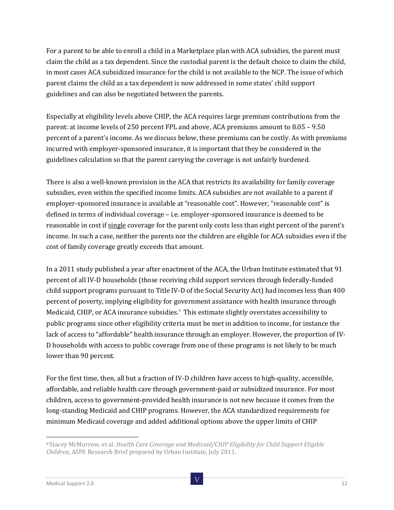For a parent to be able to enroll a child in a Marketplace plan with ACA subsidies, the parent must claim the child as a tax dependent. Since the custodial parent is the default choice to claim the child, in most cases ACA subsidized insurance for the child is not available to the NCP. The issue of which parent claims the child as a tax dependent is now addressed in some states' child support guidelines and can also be negotiated between the parents.

Especially at eligibility levels above CHIP, the ACA requires large premium contributions from the parent: at income levels of 250 percent FPL and above, ACA premiums amount to 8.05 – 9.50 percent of a parent's income. As we discuss below, these premiums can be costly. As with premiums incurred with employer-sponsored insurance, it is important that they be considered in the guidelines calculation so that the parent carrying the coverage is not unfairly burdened.

There is also a well-known provision in the ACA that restricts its availability for family coverage subsidies, even within the specified income limits. ACA subsidies are not available to a parent if employer-sponsored insurance is available at "reasonable cost". However, "reasonable cost" is defined in terms of individual coverage – i.e. employer-sponsored insurance is deemed to be reasonable in cost if single coverage for the parent only costs less than eight percent of the parent's income. In such a case, neither the parents nor the children are eligible for ACA subsidies even if the cost of family coverage greatly exceeds that amount.

In a 2011 study published a year after enactment of the ACA, the Urban Institute estimated that 91 percent of all IV-D households (those receiving child support services through federally-funded child support programs pursuant to Title IV-D of the Social Security Act) had incomes less than 400 percent of poverty, implying eligibility for government assistance with health insurance through Medicaid, CHIP, or ACA insurance subsidies. $8$  This estimate slightly overstates accessibility to public programs since other eligibility criteria must be met in addition to income, for instance the lack of access to "affordable" health insurance through an employer. However, the proportion of IV-D households with access to public coverage from one of these programs is not likely to be much lower than 90 percent.

For the first time, then, all but a fraction of IV-D children have access to high-quality, accessible, affordable, and reliable health care through government-paid or subsidized insurance. For most children, access to government-provided health insurance is not new because it comes from the long-standing Medicaid and CHIP programs. However, the ACA standardized requirements for minimum Medicaid coverage and added additional options above the upper limits of CHIP

 $\ddot{\phantom{a}}$ 

<sup>8</sup> Stacey McMorrow, et al. *Health Care Coverage and Medicaid/CHIP Eligibility for Child Support Eligible Children*, ASPE Research Brief prepared by Urban Institute, July 2011.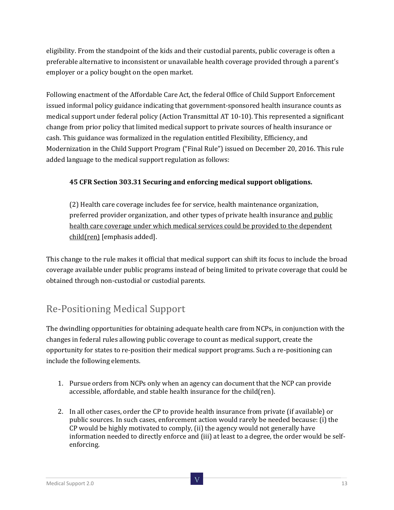eligibility. From the standpoint of the kids and their custodial parents, public coverage is often a preferable alternative to inconsistent or unavailable health coverage provided through a parent's employer or a policy bought on the open market.

Following enactment of the Affordable Care Act, the federal Office of Child Support Enforcement issued informal policy guidance indicating that government-sponsored health insurance counts as medical support under federal policy (Action Transmittal AT 10-10). This represented a significant change from prior policy that limited medical support to private sources of health insurance or cash. This guidance was formalized in the regulation entitled Flexibility, Efficiency, and Modernization in the Child Support Program ("Final Rule") issued on December 20, 2016. This rule added language to the medical support regulation as follows:

#### **45 CFR Section 303.31 Securing and enforcing medical support obligations.**

(2) Health care coverage includes fee for service, health maintenance organization, preferred provider organization, and other types of private health insurance and public health care coverage under which medical services could be provided to the dependent child(ren) [emphasis added].

This change to the rule makes it official that medical support can shift its focus to include the broad coverage available under public programs instead of being limited to private coverage that could be obtained through non-custodial or custodial parents.

#### Re-Positioning Medical Support

The dwindling opportunities for obtaining adequate health care from NCPs, in conjunction with the changes in federal rules allowing public coverage to count as medical support, create the opportunity for states to re-position their medical support programs. Such a re-positioning can include the following elements.

- 1. Pursue orders from NCPs only when an agency can document that the NCP can provide accessible, affordable, and stable health insurance for the child(ren).
- 2. In all other cases, order the CP to provide health insurance from private (if available) or public sources. In such cases, enforcement action would rarely be needed because: (i) the CP would be highly motivated to comply, (ii) the agency would not generally have information needed to directly enforce and (iii) at least to a degree, the order would be selfenforcing.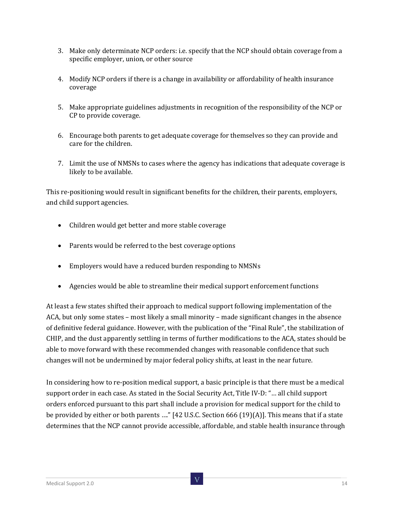- 3. Make only determinate NCP orders: i.e. specify that the NCP should obtain coverage from a specific employer, union, or other source
- 4. Modify NCP orders if there is a change in availability or affordability of health insurance coverage
- 5. Make appropriate guidelines adjustments in recognition of the responsibility of the NCP or CP to provide coverage.
- 6. Encourage both parents to get adequate coverage for themselves so they can provide and care for the children.
- 7. Limit the use of NMSNs to cases where the agency has indications that adequate coverage is likely to be available.

This re-positioning would result in significant benefits for the children, their parents, employers, and child support agencies.

- Children would get better and more stable coverage
- Parents would be referred to the best coverage options
- Employers would have a reduced burden responding to NMSNs
- Agencies would be able to streamline their medical support enforcement functions

At least a few states shifted their approach to medical support following implementation of the ACA, but only some states – most likely a small minority – made significant changes in the absence of definitive federal guidance. However, with the publication of the "Final Rule", the stabilization of CHIP, and the dust apparently settling in terms of further modifications to the ACA, states should be able to move forward with these recommended changes with reasonable confidence that such changes will not be undermined by major federal policy shifts, at least in the near future.

In considering how to re-position medical support, a basic principle is that there must be a medical support order in each case. As stated in the Social Security Act, Title IV-D: "… all child support orders enforced pursuant to this part shall include a provision for medical support for the child to be provided by either or both parents …." [42 U.S.C. Section 666 (19)(A)]. This means that if a state determines that the NCP cannot provide accessible, affordable, and stable health insurance through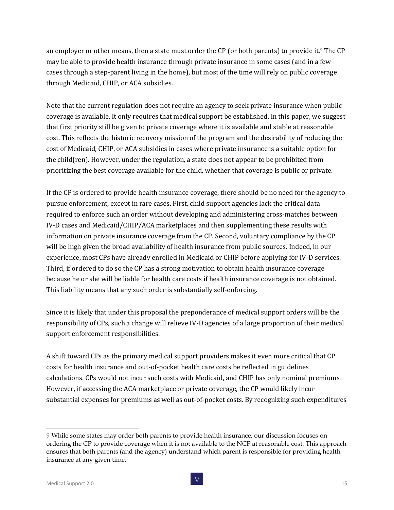an employer or other means, then a state must order the CP (or both parents) to provide it.<sup>9</sup> The CP may be able to provide health insurance through private insurance in some cases (and in a few cases through a step-parent living in the home), but most of the time will rely on public coverage through Medicaid, CHIP, or ACA subsidies.

Note that the current regulation does not require an agency to seek private insurance when public coverage is available. It only requires that medical support be established. In this paper, we suggest that first priority still be given to private coverage where it is available and stable at reasonable cost. This reflects the historic recovery mission of the program and the desirability of reducing the cost of Medicaid, CHIP, or ACA subsidies in cases where private insurance is a suitable option for the child(ren). However, under the regulation, a state does not appear to be prohibited from prioritizing the best coverage available for the child, whether that coverage is public or private.

If the CP is ordered to provide health insurance coverage, there should be no need for the agency to pursue enforcement, except in rare cases. First, child support agencies lack the critical data required to enforce such an order without developing and administering cross-matches between IV-D cases and Medicaid/CHIP/ACA marketplaces and then supplementing these results with information on private insurance coverage from the CP. Second, voluntary compliance by the CP will be high given the broad availability of health insurance from public sources. Indeed, in our experience, most CPs have already enrolled in Medicaid or CHIP before applying for IV-D services. Third, if ordered to do so the CP has a strong motivation to obtain health insurance coverage because he or she will be liable for health care costs if health insurance coverage is not obtained. This liability means that any such order is substantially self-enforcing.

Since it is likely that under this proposal the preponderance of medical support orders will be the responsibility of CPs, such a change will relieve IV-D agencies of a large proportion of their medical support enforcement responsibilities.

A shift toward CPs as the primary medical support providers makes it even more critical that CP costs for health insurance and out-of-pocket health care costs be reflected in guidelines calculations. CPs would not incur such costs with Medicaid, and CHIP has only nominal premiums. However, if accessing the ACA marketplace or private coverage, the CP would likely incur substantial expenses for premiums as well as out-of-pocket costs. By recognizing such expenditures

<sup>9</sup> While some states may order both parents to provide health insurance, our discussion focuses on ordering the CP to provide coverage when it is not available to the NCP at reasonable cost. This approach ensures that both parents (and the agency) understand which parent is responsible for providing health insurance at any given time.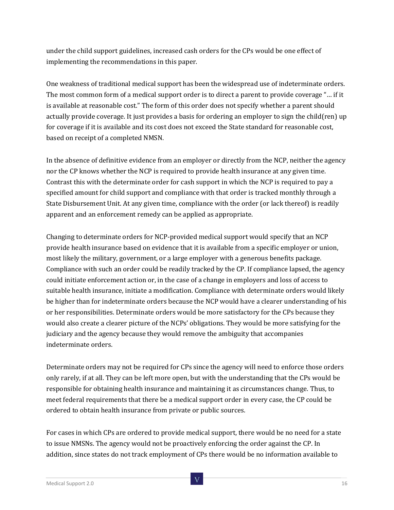under the child support guidelines, increased cash orders for the CPs would be one effect of implementing the recommendations in this paper.

One weakness of traditional medical support has been the widespread use of indeterminate orders. The most common form of a medical support order is to direct a parent to provide coverage "… if it is available at reasonable cost." The form of this order does not specify whether a parent should actually provide coverage. It just provides a basis for ordering an employer to sign the child(ren) up for coverage if it is available and its cost does not exceed the State standard for reasonable cost, based on receipt of a completed NMSN.

In the absence of definitive evidence from an employer or directly from the NCP, neither the agency nor the CP knows whether the NCP is required to provide health insurance at any given time. Contrast this with the determinate order for cash support in which the NCP is required to pay a specified amount for child support and compliance with that order is tracked monthly through a State Disbursement Unit. At any given time, compliance with the order (or lack thereof) is readily apparent and an enforcement remedy can be applied as appropriate.

Changing to determinate orders for NCP-provided medical support would specify that an NCP provide health insurance based on evidence that it is available from a specific employer or union, most likely the military, government, or a large employer with a generous benefits package. Compliance with such an order could be readily tracked by the CP. If compliance lapsed, the agency could initiate enforcement action or, in the case of a change in employers and loss of access to suitable health insurance, initiate a modification. Compliance with determinate orders would likely be higher than for indeterminate orders because the NCP would have a clearer understanding of his or her responsibilities. Determinate orders would be more satisfactory for the CPs because they would also create a clearer picture of the NCPs' obligations. They would be more satisfying for the judiciary and the agency because they would remove the ambiguity that accompanies indeterminate orders.

Determinate orders may not be required for CPs since the agency will need to enforce those orders only rarely, if at all. They can be left more open, but with the understanding that the CPs would be responsible for obtaining health insurance and maintaining it as circumstances change. Thus, to meet federal requirements that there be a medical support order in every case, the CP could be ordered to obtain health insurance from private or public sources.

For cases in which CPs are ordered to provide medical support, there would be no need for a state to issue NMSNs. The agency would not be proactively enforcing the order against the CP. In addition, since states do not track employment of CPs there would be no information available to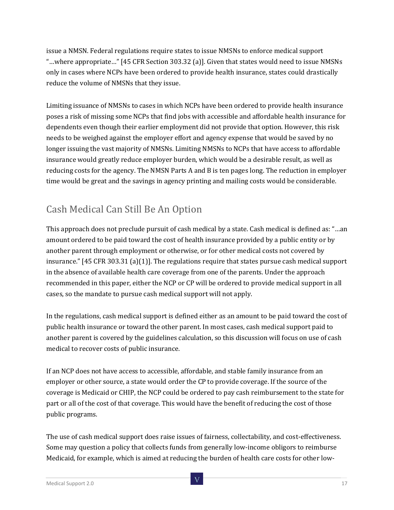issue a NMSN. Federal regulations require states to issue NMSNs to enforce medical support "…where appropriate…" [45 CFR Section 303.32 (a)]. Given that states would need to issue NMSNs only in cases where NCPs have been ordered to provide health insurance, states could drastically reduce the volume of NMSNs that they issue.

Limiting issuance of NMSNs to cases in which NCPs have been ordered to provide health insurance poses a risk of missing some NCPs that find jobs with accessible and affordable health insurance for dependents even though their earlier employment did not provide that option. However, this risk needs to be weighed against the employer effort and agency expense that would be saved by no longer issuing the vast majority of NMSNs. Limiting NMSNs to NCPs that have access to affordable insurance would greatly reduce employer burden, which would be a desirable result, as well as reducing costs for the agency. The NMSN Parts A and B is ten pages long. The reduction in employer time would be great and the savings in agency printing and mailing costs would be considerable.

### Cash Medical Can Still Be An Option

This approach does not preclude pursuit of cash medical by a state. Cash medical is defined as: "…an amount ordered to be paid toward the cost of health insurance provided by a public entity or by another parent through employment or otherwise, or for other medical costs not covered by insurance."  $[45 \text{ CFR } 303.31 \text{ (a)}(1)]$ . The regulations require that states pursue cash medical support in the absence of available health care coverage from one of the parents. Under the approach recommended in this paper, either the NCP or CP will be ordered to provide medical support in all cases, so the mandate to pursue cash medical support will not apply.

In the regulations, cash medical support is defined either as an amount to be paid toward the cost of public health insurance or toward the other parent. In most cases, cash medical support paid to another parent is covered by the guidelines calculation, so this discussion will focus on use of cash medical to recover costs of public insurance.

If an NCP does not have access to accessible, affordable, and stable family insurance from an employer or other source, a state would order the CP to provide coverage. If the source of the coverage is Medicaid or CHIP, the NCP could be ordered to pay cash reimbursement to the state for part or all of the cost of that coverage. This would have the benefit of reducing the cost of those public programs.

The use of cash medical support does raise issues of fairness, collectability, and cost-effectiveness. Some may question a policy that collects funds from generally low-income obligors to reimburse Medicaid, for example, which is aimed at reducing the burden of health care costs for other low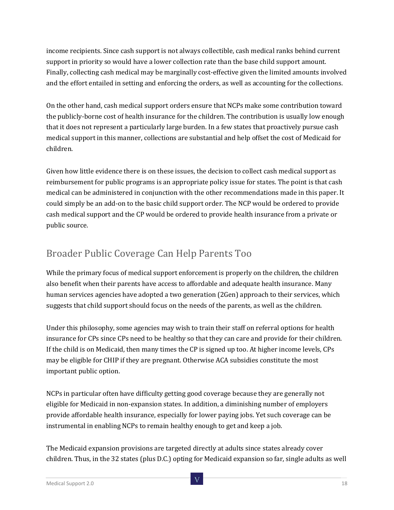income recipients. Since cash support is not always collectible, cash medical ranks behind current support in priority so would have a lower collection rate than the base child support amount. Finally, collecting cash medical may be marginally cost-effective given the limited amounts involved and the effort entailed in setting and enforcing the orders, as well as accounting for the collections.

On the other hand, cash medical support orders ensure that NCPs make some contribution toward the publicly-borne cost of health insurance for the children. The contribution is usually low enough that it does not represent a particularly large burden. In a few states that proactively pursue cash medical support in this manner, collections are substantial and help offset the cost of Medicaid for children.

Given how little evidence there is on these issues, the decision to collect cash medical support as reimbursement for public programs is an appropriate policy issue for states. The point is that cash medical can be administered in conjunction with the other recommendations made in this paper. It could simply be an add-on to the basic child support order. The NCP would be ordered to provide cash medical support and the CP would be ordered to provide health insurance from a private or public source.

### Broader Public Coverage Can Help Parents Too

While the primary focus of medical support enforcement is properly on the children, the children also benefit when their parents have access to affordable and adequate health insurance. Many human services agencies have adopted a two generation (2Gen) approach to their services, which suggests that child support should focus on the needs of the parents, as well as the children.

Under this philosophy, some agencies may wish to train their staff on referral options for health insurance for CPs since CPs need to be healthy so that they can care and provide for their children. If the child is on Medicaid, then many times the CP is signed up too. At higher income levels, CPs may be eligible for CHIP if they are pregnant. Otherwise ACA subsidies constitute the most important public option.

NCPs in particular often have difficulty getting good coverage because they are generally not eligible for Medicaid in non-expansion states. In addition, a diminishing number of employers provide affordable health insurance, especially for lower paying jobs. Yet such coverage can be instrumental in enabling NCPs to remain healthy enough to get and keep a job.

The Medicaid expansion provisions are targeted directly at adults since states already cover children. Thus, in the 32 states (plus D.C.) opting for Medicaid expansion so far, single adults as well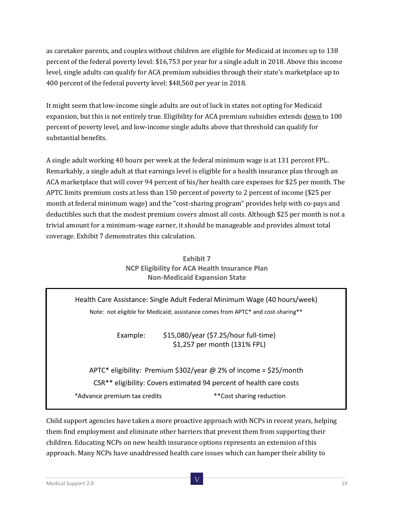as caretaker parents, and couples without children are eligible for Medicaid at incomes up to 138 percent of the federal poverty level: \$16,753 per year for a single adult in 2018. Above this income level, single adults can qualify for ACA premium subsidies through their state's marketplace up to 400 percent of the federal poverty level: \$48,560 per year in 2018.

It might seem that low-income single adults are out of luck in states not opting for Medicaid expansion, but this is not entirely true. Eligibility for ACA premium subsidies extends down to 100 percent of poverty level, and low-income single adults above that threshold can qualify for substantial benefits.

A single adult working 40 hours per week at the federal minimum wage is at 131 percent FPL. Remarkably, a single adult at that earnings level is eligible for a health insurance plan through an ACA marketplace that will cover 94 percent of his/her health care expenses for \$25 per month. The APTC limits premium costs at less than 150 percent of poverty to 2 percent of income (\$25 per month at federal minimum wage) and the "cost-sharing program" provides help with co-pays and deductibles such that the modest premium covers almost all costs. Although \$25 per month is not a trivial amount for a minimum-wage earner, it should be manageable and provides almost total coverage. Exhibit 7 demonstrates this calculation.

|                                     |                                                      | Exhibit 7 |  |  |  |
|-------------------------------------|------------------------------------------------------|-----------|--|--|--|
|                                     | <b>NCP Eligibility for ACA Health Insurance Plan</b> |           |  |  |  |
| <b>Non-Medicaid Expansion State</b> |                                                      |           |  |  |  |

|                                                                                                                                          | Health Care Assistance: Single Adult Federal Minimum Wage (40 hours/week)<br>Note: not eligible for Medicaid; assistance comes from APTC* and cost-sharing** |  |  |  |
|------------------------------------------------------------------------------------------------------------------------------------------|--------------------------------------------------------------------------------------------------------------------------------------------------------------|--|--|--|
| Example:                                                                                                                                 | \$15,080/year (\$7.25/hour full-time)<br>\$1,257 per month (131% FPL)                                                                                        |  |  |  |
| APTC* eligibility: Premium \$302/year @ 2% of income = \$25/month<br>CSR** eligibility: Covers estimated 94 percent of health care costs |                                                                                                                                                              |  |  |  |
| *Advance premium tax credits                                                                                                             | **Cost sharing reduction                                                                                                                                     |  |  |  |

Child support agencies have taken a more proactive approach with NCPs in recent years, helping them find employment and eliminate other barriers that prevent them from supporting their children. Educating NCPs on new health insurance options represents an extension of this approach. Many NCPs have unaddressed health care issues which can hamper their ability to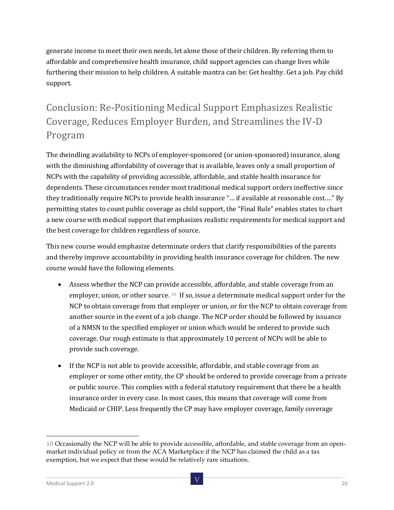generate income to meet their own needs, let alone those of their children. By referring them to affordable and comprehensive health insurance, child support agencies can change lives while furthering their mission to help children. A suitable mantra can be: Get healthy. Get a job. Pay child support.

### Conclusion: Re-Positioning Medical Support Emphasizes Realistic Coverage, Reduces Employer Burden, and Streamlines the IV-D Program

The dwindling availability to NCPs of employer-sponsored (or union-sponsored) insurance, along with the diminishing affordability of coverage that is available, leaves only a small proportion of NCPs with the capability of providing accessible, affordable, and stable health insurance for dependents. These circumstances render most traditional medical support orders ineffective since they traditionally require NCPs to provide health insurance "… if available at reasonable cost.…" By permitting states to count public coverage as child support, the "Final Rule" enables states to chart a new course with medical support that emphasizes realistic requirements for medical support and the best coverage for children regardless of source.

This new course would emphasize determinate orders that clarify responsibilities of the parents and thereby improve accountability in providing health insurance coverage for children. The new course would have the following elements.

- Assess whether the NCP can provide accessible, affordable, and stable coverage from an employer, union, or other source. <sup>10</sup> If so, issue a determinate medical support order for the NCP to obtain coverage from that employer or union, or for the NCP to obtain coverage from another source in the event of a job change. The NCP order should be followed by issuance of a NMSN to the specified employer or union which would be ordered to provide such coverage. Our rough estimate is that approximately 10 percent of NCPs will be able to provide such coverage.
- If the NCP is not able to provide accessible, affordable, and stable coverage from an employer or some other entity, the CP should be ordered to provide coverage from a private or public source. This complies with a federal statutory requirement that there be a health insurance order in every case. In most cases, this means that coverage will come from Medicaid or CHIP. Less frequently the CP may have employer coverage, family coverage

<sup>10</sup> Occasionally the NCP will be able to provide accessible, affordable, and stable coverage from an openmarket individual policy or from the ACA Marketplace if the NCP has claimed the child as a tax exemption, but we expect that these would be relatively rare situations.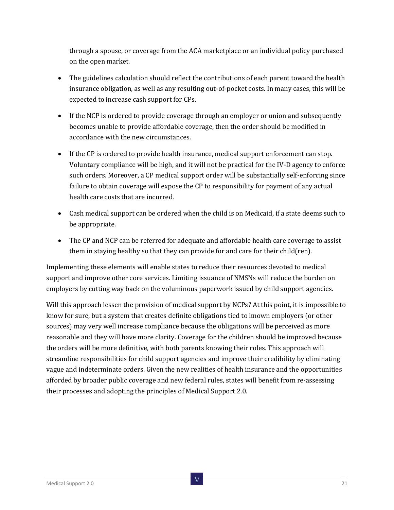through a spouse, or coverage from the ACA marketplace or an individual policy purchased on the open market.

- The guidelines calculation should reflect the contributions of each parent toward the health insurance obligation, as well as any resulting out-of-pocket costs. In many cases, this will be expected to increase cash support for CPs.
- If the NCP is ordered to provide coverage through an employer or union and subsequently becomes unable to provide affordable coverage, then the order should be modified in accordance with the new circumstances.
- If the CP is ordered to provide health insurance, medical support enforcement can stop. Voluntary compliance will be high, and it will not be practical for the IV-D agency to enforce such orders. Moreover, a CP medical support order will be substantially self-enforcing since failure to obtain coverage will expose the CP to responsibility for payment of any actual health care costs that are incurred.
- Cash medical support can be ordered when the child is on Medicaid, if a state deems such to be appropriate.
- The CP and NCP can be referred for adequate and affordable health care coverage to assist them in staying healthy so that they can provide for and care for their child(ren).

Implementing these elements will enable states to reduce their resources devoted to medical support and improve other core services. Limiting issuance of NMSNs will reduce the burden on employers by cutting way back on the voluminous paperwork issued by child support agencies.

Will this approach lessen the provision of medical support by NCPs? At this point, it is impossible to know for sure, but a system that creates definite obligations tied to known employers (or other sources) may very well increase compliance because the obligations will be perceived as more reasonable and they will have more clarity. Coverage for the children should be improved because the orders will be more definitive, with both parents knowing their roles. This approach will streamline responsibilities for child support agencies and improve their credibility by eliminating vague and indeterminate orders. Given the new realities of health insurance and the opportunities afforded by broader public coverage and new federal rules, states will benefit from re-assessing their processes and adopting the principles of Medical Support 2.0.